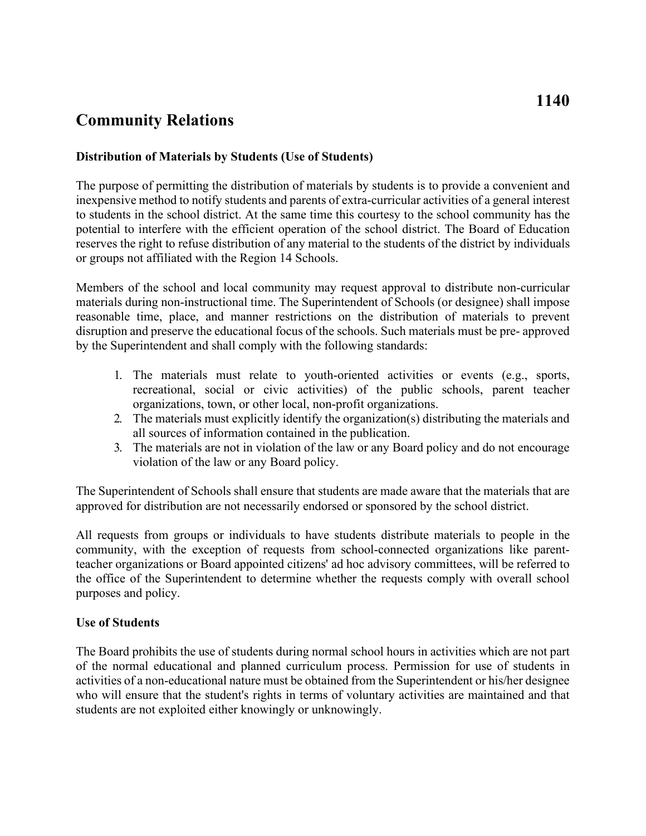## **Community Relations**

## **Distribution of Materials by Students (Use of Students)**

 inexpensive method to notify students and parents of extra-curricular activities of a general interest The purpose of permitting the distribution of materials by students is to provide a convenient and to students in the school district. At the same time this courtesy to the school community has the potential to interfere with the efficient operation of the school district. The Board of Education reserves the right to refuse distribution of any material to the students of the district by individuals or groups not affiliated with the Region 14 Schools.

 disruption and preserve the educational focus of the schools. Such materials must be pre- approved Members of the school and local community may request approval to distribute non-curricular materials during non-instructional time. The Superintendent of Schools (or designee) shall impose reasonable time, place, and manner restrictions on the distribution of materials to prevent by the Superintendent and shall comply with the following standards:

- 1. The materials must relate to youth-oriented activities or events (e.g., sports, recreational, social or civic activities) of the public schools, parent teacher organizations, town, or other local, non-profit organizations.
- 2. The materials must explicitly identify the organization(s) distributing the materials and all sources of information contained in the publication.
- 3. The materials are not in violation of the law or any Board policy and do not encourage violation of the law or any Board policy.

The Superintendent of Schools shall ensure that students are made aware that the materials that are approved for distribution are not necessarily endorsed or sponsored by the school district.

All requests from groups or individuals to have students distribute materials to people in the community, with the exception of requests from school-connected organizations like parentteacher organizations or Board appointed citizens' ad hoc advisory committees, will be referred to the office of the Superintendent to determine whether the requests comply with overall school purposes and policy.

## **Use of Students**

The Board prohibits the use of students during normal school hours in activities which are not part of the normal educational and planned curriculum process. Permission for use of students in activities of a non-educational nature must be obtained from the Superintendent or his/her designee who will ensure that the student's rights in terms of voluntary activities are maintained and that students are not exploited either knowingly or unknowingly.